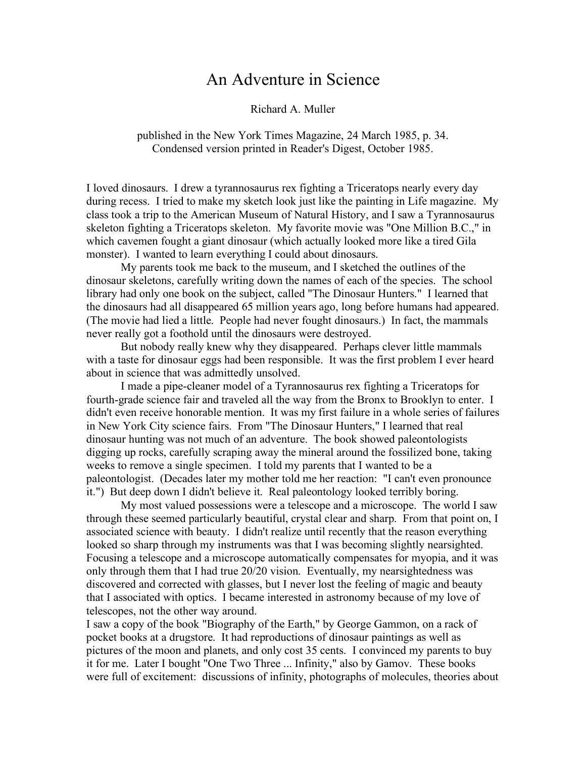## An Adventure in Science

Richard A. Muller

published in the New York Times Magazine, 24 March 1985, p. 34. Condensed version printed in Reader's Digest, October 1985.

I loved dinosaurs. I drew a tyrannosaurus rex fighting a Triceratops nearly every day during recess. I tried to make my sketch look just like the painting in Life magazine. My class took a trip to the American Museum of Natural History, and I saw a Tyrannosaurus skeleton fighting a Triceratops skeleton. My favorite movie was "One Million B.C.," in which cavemen fought a giant dinosaur (which actually looked more like a tired Gila monster). I wanted to learn everything I could about dinosaurs.

My parents took me back to the museum, and I sketched the outlines of the dinosaur skeletons, carefully writing down the names of each of the species. The school library had only one book on the subject, called "The Dinosaur Hunters." I learned that the dinosaurs had all disappeared 65 million years ago, long before humans had appeared. (The movie had lied a little. People had never fought dinosaurs.) In fact, the mammals never really got a foothold until the dinosaurs were destroyed.

But nobody really knew why they disappeared. Perhaps clever little mammals with a taste for dinosaur eggs had been responsible. It was the first problem I ever heard about in science that was admittedly unsolved.

I made a pipe-cleaner model of a Tyrannosaurus rex fighting a Triceratops for fourth-grade science fair and traveled all the way from the Bronx to Brooklyn to enter. I didn't even receive honorable mention. It was my first failure in a whole series of failures in New York City science fairs. From "The Dinosaur Hunters," I learned that real dinosaur hunting was not much of an adventure. The book showed paleontologists digging up rocks, carefully scraping away the mineral around the fossilized bone, taking weeks to remove a single specimen. I told my parents that I wanted to be a paleontologist. (Decades later my mother told me her reaction: "I can't even pronounce it.") But deep down I didn't believe it. Real paleontology looked terribly boring.

My most valued possessions were a telescope and a microscope. The world I saw through these seemed particularly beautiful, crystal clear and sharp. From that point on, I associated science with beauty. I didn't realize until recently that the reason everything looked so sharp through my instruments was that I was becoming slightly nearsighted. Focusing a telescope and a microscope automatically compensates for myopia, and it was only through them that I had true 20/20 vision. Eventually, my nearsightedness was discovered and corrected with glasses, but I never lost the feeling of magic and beauty that I associated with optics. I became interested in astronomy because of my love of telescopes, not the other way around.

I saw a copy of the book "Biography of the Earth," by George Gammon, on a rack of pocket books at a drugstore. It had reproductions of dinosaur paintings as well as pictures of the moon and planets, and only cost 35 cents. I convinced my parents to buy it for me. Later I bought "One Two Three ... Infinity," also by Gamov. These books were full of excitement: discussions of infinity, photographs of molecules, theories about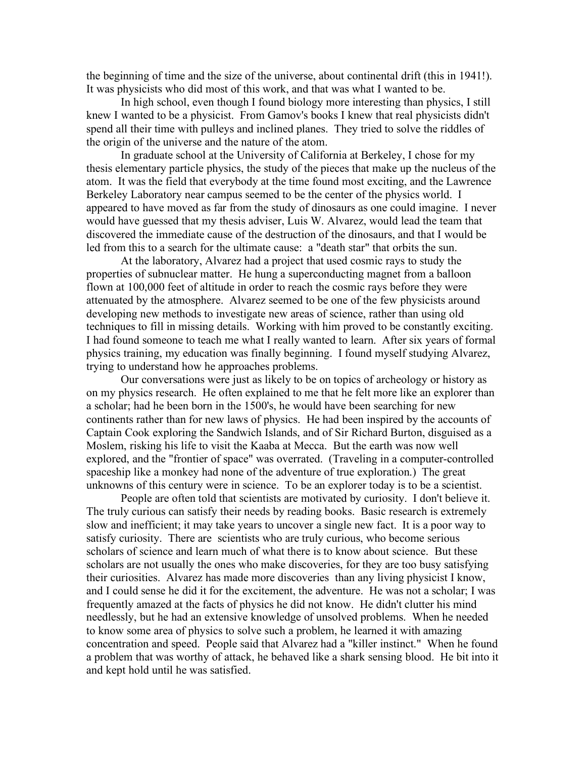the beginning of time and the size of the universe, about continental drift (this in 1941!). It was physicists who did most of this work, and that was what I wanted to be.

In high school, even though I found biology more interesting than physics, I still knew I wanted to be a physicist. From Gamov's books I knew that real physicists didn't spend all their time with pulleys and inclined planes. They tried to solve the riddles of the origin of the universe and the nature of the atom.

In graduate school at the University of California at Berkeley, I chose for my thesis elementary particle physics, the study of the pieces that make up the nucleus of the atom. It was the field that everybody at the time found most exciting, and the Lawrence Berkeley Laboratory near campus seemed to be the center of the physics world. I appeared to have moved as far from the study of dinosaurs as one could imagine. I never would have guessed that my thesis adviser, Luis W. Alvarez, would lead the team that discovered the immediate cause of the destruction of the dinosaurs, and that I would be led from this to a search for the ultimate cause: a "death star" that orbits the sun.

At the laboratory, Alvarez had a project that used cosmic rays to study the properties of subnuclear matter. He hung a superconducting magnet from a balloon flown at 100,000 feet of altitude in order to reach the cosmic rays before they were attenuated by the atmosphere. Alvarez seemed to be one of the few physicists around developing new methods to investigate new areas of science, rather than using old techniques to fill in missing details. Working with him proved to be constantly exciting. I had found someone to teach me what I really wanted to learn. After six years of formal physics training, my education was finally beginning. I found myself studying Alvarez, trying to understand how he approaches problems.

Our conversations were just as likely to be on topics of archeology or history as on my physics research. He often explained to me that he felt more like an explorer than a scholar; had he been born in the 1500's, he would have been searching for new continents rather than for new laws of physics. He had been inspired by the accounts of Captain Cook exploring the Sandwich Islands, and of Sir Richard Burton, disguised as a Moslem, risking his life to visit the Kaaba at Mecca. But the earth was now well explored, and the "frontier of space" was overrated. (Traveling in a computer-controlled spaceship like a monkey had none of the adventure of true exploration.) The great unknowns of this century were in science. To be an explorer today is to be a scientist.

People are often told that scientists are motivated by curiosity. I don't believe it. The truly curious can satisfy their needs by reading books. Basic research is extremely slow and inefficient; it may take years to uncover a single new fact. It is a poor way to satisfy curiosity. There are scientists who are truly curious, who become serious scholars of science and learn much of what there is to know about science. But these scholars are not usually the ones who make discoveries, for they are too busy satisfying their curiosities. Alvarez has made more discoveries than any living physicist I know, and I could sense he did it for the excitement, the adventure. He was not a scholar; I was frequently amazed at the facts of physics he did not know. He didn't clutter his mind needlessly, but he had an extensive knowledge of unsolved problems. When he needed to know some area of physics to solve such a problem, he learned it with amazing concentration and speed. People said that Alvarez had a "killer instinct." When he found a problem that was worthy of attack, he behaved like a shark sensing blood. He bit into it and kept hold until he was satisfied.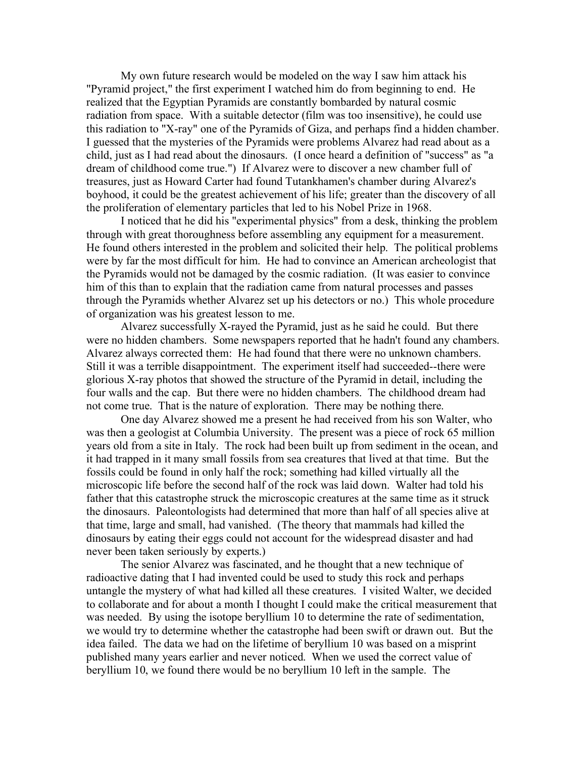My own future research would be modeled on the way I saw him attack his "Pyramid project," the first experiment I watched him do from beginning to end. He realized that the Egyptian Pyramids are constantly bombarded by natural cosmic radiation from space. With a suitable detector (film was too insensitive), he could use this radiation to "X-ray" one of the Pyramids of Giza, and perhaps find a hidden chamber. I guessed that the mysteries of the Pyramids were problems Alvarez had read about as a child, just as I had read about the dinosaurs. (I once heard a definition of "success" as "a dream of childhood come true.") If Alvarez were to discover a new chamber full of treasures, just as Howard Carter had found Tutankhamen's chamber during Alvarez's boyhood, it could be the greatest achievement of his life; greater than the discovery of all the proliferation of elementary particles that led to his Nobel Prize in 1968.

I noticed that he did his "experimental physics" from a desk, thinking the problem through with great thoroughness before assembling any equipment for a measurement. He found others interested in the problem and solicited their help. The political problems were by far the most difficult for him. He had to convince an American archeologist that the Pyramids would not be damaged by the cosmic radiation. (It was easier to convince him of this than to explain that the radiation came from natural processes and passes through the Pyramids whether Alvarez set up his detectors or no.) This whole procedure of organization was his greatest lesson to me.

Alvarez successfully X-rayed the Pyramid, just as he said he could. But there were no hidden chambers. Some newspapers reported that he hadn't found any chambers. Alvarez always corrected them: He had found that there were no unknown chambers. Still it was a terrible disappointment. The experiment itself had succeeded--there were glorious X-ray photos that showed the structure of the Pyramid in detail, including the four walls and the cap. But there were no hidden chambers. The childhood dream had not come true. That is the nature of exploration. There may be nothing there.

One day Alvarez showed me a present he had received from his son Walter, who was then a geologist at Columbia University. The present was a piece of rock 65 million years old from a site in Italy. The rock had been built up from sediment in the ocean, and it had trapped in it many small fossils from sea creatures that lived at that time. But the fossils could be found in only half the rock; something had killed virtually all the microscopic life before the second half of the rock was laid down. Walter had told his father that this catastrophe struck the microscopic creatures at the same time as it struck the dinosaurs. Paleontologists had determined that more than half of all species alive at that time, large and small, had vanished. (The theory that mammals had killed the dinosaurs by eating their eggs could not account for the widespread disaster and had never been taken seriously by experts.)

The senior Alvarez was fascinated, and he thought that a new technique of radioactive dating that I had invented could be used to study this rock and perhaps untangle the mystery of what had killed all these creatures. I visited Walter, we decided to collaborate and for about a month I thought I could make the critical measurement that was needed. By using the isotope beryllium 10 to determine the rate of sedimentation, we would try to determine whether the catastrophe had been swift or drawn out. But the idea failed. The data we had on the lifetime of beryllium 10 was based on a misprint published many years earlier and never noticed. When we used the correct value of beryllium 10, we found there would be no beryllium 10 left in the sample. The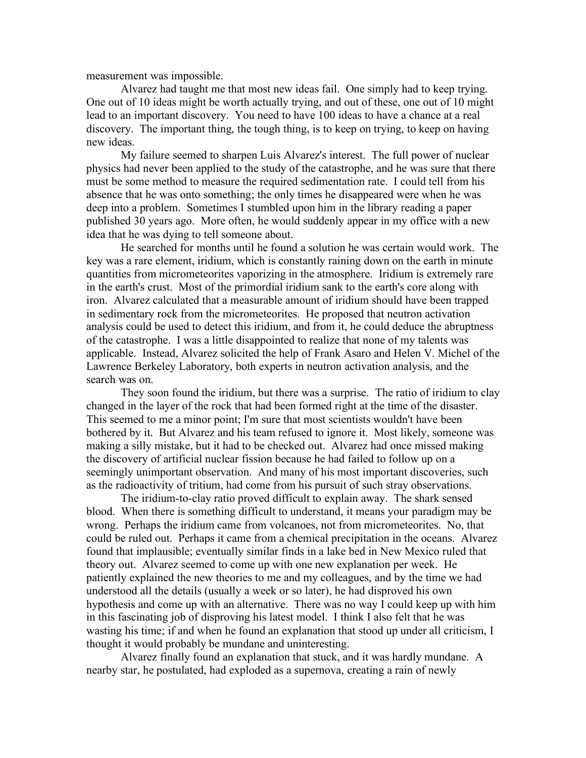measurement was impossible.

Alvarez had taught me that most new ideas fail. One simply had to keep trying. One out of 10 ideas might be worth actually trying, and out of these, one out of 10 might lead to an important discovery. You need to have 100 ideas to have a chance at a real discovery. The important thing, the tough thing, is to keep on trying, to keep on having new ideas.

My failure seemed to sharpen Luis Alvarez's interest. The full power of nuclear physics had never been applied to the study of the catastrophe, and he was sure that there must be some method to measure the required sedimentation rate. I could tell from his absence that he was onto something; the only times he disappeared were when he was deep into a problem. Sometimes I stumbled upon him in the library reading a paper published 30 years ago. More often, he would suddenly appear in my office with a new idea that he was dying to tell someone about.

He searched for months until he found a solution he was certain would work. The key was a rare element, iridium, which is constantly raining down on the earth in minute quantities from micrometeorites vaporizing in the atmosphere. Iridium is extremely rare in the earth's crust. Most of the primordial iridium sank to the earth's core along with iron. Alvarez calculated that a measurable amount of iridium should have been trapped in sedimentary rock from the micrometeorites. He proposed that neutron activation analysis could be used to detect this iridium, and from it, he could deduce the abruptness of the catastrophe. I was a little disappointed to realize that none of my talents was applicable. Instead, Alvarez solicited the help of Frank Asaro and Helen V. Michel of the Lawrence Berkeley Laboratory, both experts in neutron activation analysis, and the search was on.

They soon found the iridium, but there was a surprise. The ratio of iridium to clay changed in the layer of the rock that had been formed right at the time of the disaster. This seemed to me a minor point; I'm sure that most scientists wouldn't have been bothered by it. But Alvarez and his team refused to ignore it. Most likely, someone was making a silly mistake, but it had to be checked out. Alvarez had once missed making the discovery of artificial nuclear fission because he had failed to follow up on a seemingly unimportant observation. And many of his most important discoveries, such as the radioactivity of tritium, had come from his pursuit of such stray observations.

The iridium-to-clay ratio proved difficult to explain away. The shark sensed blood. When there is something difficult to understand, it means your paradigm may be wrong. Perhaps the iridium came from volcanoes, not from micrometeorites. No, that could be ruled out. Perhaps it came from a chemical precipitation in the oceans. Alvarez found that implausible; eventually similar finds in a lake bed in New Mexico ruled that theory out. Alvarez seemed to come up with one new explanation per week. He patiently explained the new theories to me and my colleagues, and by the time we had understood all the details (usually a week or so later), he had disproved his own hypothesis and come up with an alternative. There was no way I could keep up with him in this fascinating job of disproving his latest model. I think I also felt that he was wasting his time; if and when he found an explanation that stood up under all criticism, I thought it would probably be mundane and uninteresting.

Alvarez finally found an explanation that stuck, and it was hardly mundane. A nearby star, he postulated, had exploded as a supernova, creating a rain of newly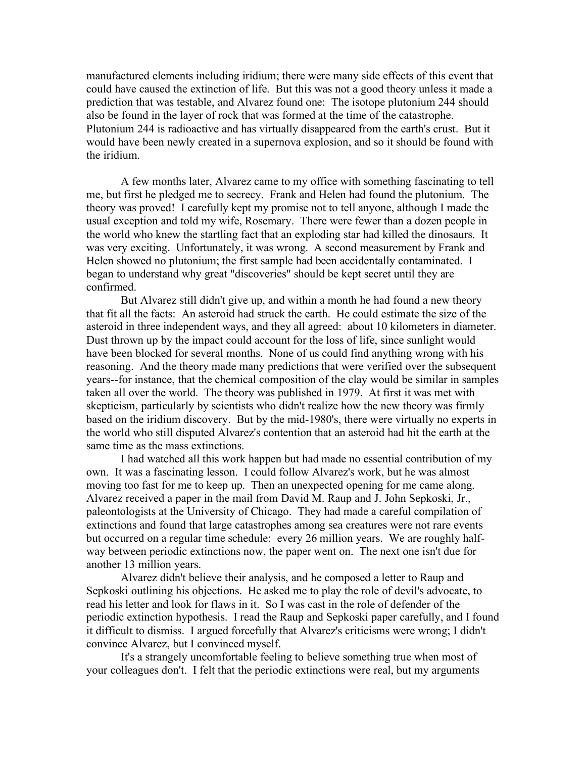manufactured elements including iridium; there were many side effects of this event that could have caused the extinction of life. But this was not a good theory unless it made a prediction that was testable, and Alvarez found one: The isotope plutonium 244 should also be found in the layer of rock that was formed at the time of the catastrophe. Plutonium 244 is radioactive and has virtually disappeared from the earth's crust. But it would have been newly created in a supernova explosion, and so it should be found with the iridium.

A few months later, Alvarez came to my office with something fascinating to tell me, but first he pledged me to secrecy. Frank and Helen had found the plutonium. The theory was proved! I carefully kept my promise not to tell anyone, although I made the usual exception and told my wife, Rosemary. There were fewer than a dozen people in the world who knew the startling fact that an exploding star had killed the dinosaurs. It was very exciting. Unfortunately, it was wrong. A second measurement by Frank and Helen showed no plutonium; the first sample had been accidentally contaminated. I began to understand why great "discoveries" should be kept secret until they are confirmed.

But Alvarez still didn't give up, and within a month he had found a new theory that fit all the facts: An asteroid had struck the earth. He could estimate the size of the asteroid in three independent ways, and they all agreed: about 10 kilometers in diameter. Dust thrown up by the impact could account for the loss of life, since sunlight would have been blocked for several months. None of us could find anything wrong with his reasoning. And the theory made many predictions that were verified over the subsequent years--for instance, that the chemical composition of the clay would be similar in samples taken all over the world. The theory was published in 1979. At first it was met with skepticism, particularly by scientists who didn't realize how the new theory was firmly based on the iridium discovery. But by the mid-1980's, there were virtually no experts in the world who still disputed Alvarez's contention that an asteroid had hit the earth at the same time as the mass extinctions.

I had watched all this work happen but had made no essential contribution of my own. It was a fascinating lesson. I could follow Alvarez's work, but he was almost moving too fast for me to keep up. Then an unexpected opening for me came along. Alvarez received a paper in the mail from David M. Raup and J. John Sepkoski, Jr., paleontologists at the University of Chicago. They had made a careful compilation of extinctions and found that large catastrophes among sea creatures were not rare events but occurred on a regular time schedule: every 26 million years. We are roughly halfway between periodic extinctions now, the paper went on. The next one isn't due for another 13 million years.

Alvarez didn't believe their analysis, and he composed a letter to Raup and Sepkoski outlining his objections. He asked me to play the role of devil's advocate, to read his letter and look for flaws in it. So I was cast in the role of defender of the periodic extinction hypothesis. I read the Raup and Sepkoski paper carefully, and I found it difficult to dismiss. I argued forcefully that Alvarez's criticisms were wrong; I didn't convince Alvarez, but I convinced myself.

It's a strangely uncomfortable feeling to believe something true when most of your colleagues don't. I felt that the periodic extinctions were real, but my arguments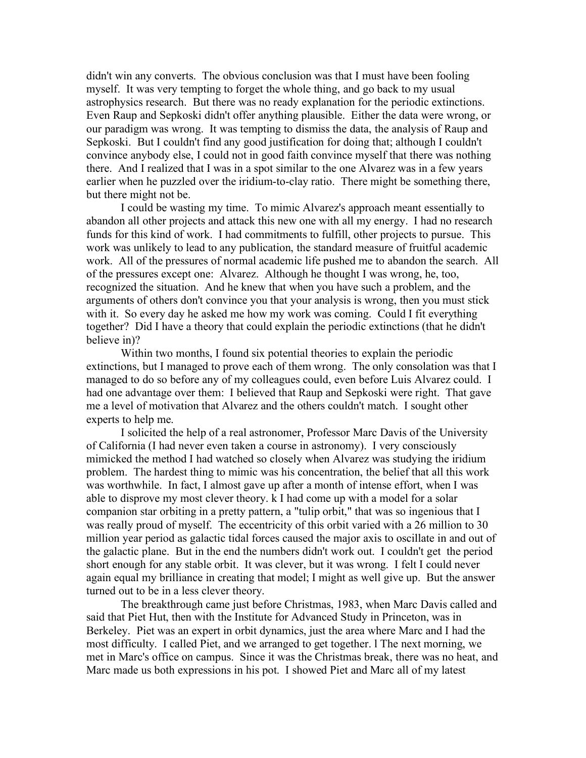didn't win any converts. The obvious conclusion was that I must have been fooling myself. It was very tempting to forget the whole thing, and go back to my usual astrophysics research. But there was no ready explanation for the periodic extinctions. Even Raup and Sepkoski didn't offer anything plausible. Either the data were wrong, or our paradigm was wrong. It was tempting to dismiss the data, the analysis of Raup and Sepkoski. But I couldn't find any good justification for doing that; although I couldn't convince anybody else, I could not in good faith convince myself that there was nothing there. And I realized that I was in a spot similar to the one Alvarez was in a few years earlier when he puzzled over the iridium-to-clay ratio. There might be something there, but there might not be.

I could be wasting my time. To mimic Alvarez's approach meant essentially to abandon all other projects and attack this new one with all my energy. I had no research funds for this kind of work. I had commitments to fulfill, other projects to pursue. This work was unlikely to lead to any publication, the standard measure of fruitful academic work. All of the pressures of normal academic life pushed me to abandon the search. All of the pressures except one: Alvarez. Although he thought I was wrong, he, too, recognized the situation. And he knew that when you have such a problem, and the arguments of others don't convince you that your analysis is wrong, then you must stick with it. So every day he asked me how my work was coming. Could I fit everything together? Did I have a theory that could explain the periodic extinctions (that he didn't believe in)?

Within two months, I found six potential theories to explain the periodic extinctions, but I managed to prove each of them wrong. The only consolation was that I managed to do so before any of my colleagues could, even before Luis Alvarez could. I had one advantage over them: I believed that Raup and Sepkoski were right. That gave me a level of motivation that Alvarez and the others couldn't match. I sought other experts to help me.

I solicited the help of a real astronomer, Professor Marc Davis of the University of California (I had never even taken a course in astronomy). I very consciously mimicked the method I had watched so closely when Alvarez was studying the iridium problem. The hardest thing to mimic was his concentration, the belief that all this work was worthwhile. In fact, I almost gave up after a month of intense effort, when I was able to disprove my most clever theory. k I had come up with a model for a solar companion star orbiting in a pretty pattern, a "tulip orbit," that was so ingenious that I was really proud of myself. The eccentricity of this orbit varied with a 26 million to 30 million year period as galactic tidal forces caused the major axis to oscillate in and out of the galactic plane. But in the end the numbers didn't work out. I couldn't get the period short enough for any stable orbit. It was clever, but it was wrong. I felt I could never again equal my brilliance in creating that model; I might as well give up. But the answer turned out to be in a less clever theory.

The breakthrough came just before Christmas, 1983, when Marc Davis called and said that Piet Hut, then with the Institute for Advanced Study in Princeton, was in Berkeley. Piet was an expert in orbit dynamics, just the area where Marc and I had the most difficulty. I called Piet, and we arranged to get together. l The next morning, we met in Marc's office on campus. Since it was the Christmas break, there was no heat, and Marc made us both expressions in his pot. I showed Piet and Marc all of my latest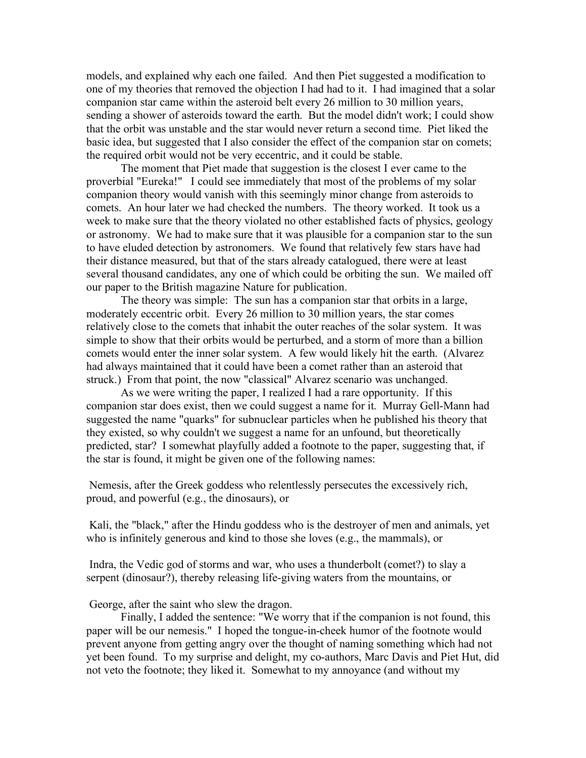models, and explained why each one failed. And then Piet suggested a modification to one of my theories that removed the objection I had had to it. I had imagined that a solar companion star came within the asteroid belt every 26 million to 30 million years, sending a shower of asteroids toward the earth. But the model didn't work; I could show that the orbit was unstable and the star would never return a second time. Piet liked the basic idea, but suggested that I also consider the effect of the companion star on comets; the required orbit would not be very eccentric, and it could be stable.

The moment that Piet made that suggestion is the closest I ever came to the proverbial "Eureka!" I could see immediately that most of the problems of my solar companion theory would vanish with this seemingly minor change from asteroids to comets. An hour later we had checked the numbers. The theory worked. It took us a week to make sure that the theory violated no other established facts of physics, geology or astronomy. We had to make sure that it was plausible for a companion star to the sun to have eluded detection by astronomers. We found that relatively few stars have had their distance measured, but that of the stars already catalogued, there were at least several thousand candidates, any one of which could be orbiting the sun. We mailed off our paper to the British magazine Nature for publication.

The theory was simple: The sun has a companion star that orbits in a large, moderately eccentric orbit. Every 26 million to 30 million years, the star comes relatively close to the comets that inhabit the outer reaches of the solar system. It was simple to show that their orbits would be perturbed, and a storm of more than a billion comets would enter the inner solar system. A few would likely hit the earth. (Alvarez had always maintained that it could have been a comet rather than an asteroid that struck.) From that point, the now "classical" Alvarez scenario was unchanged.

As we were writing the paper, I realized I had a rare opportunity. If this companion star does exist, then we could suggest a name for it. Murray Gell-Mann had suggested the name "quarks" for subnuclear particles when he published his theory that they existed, so why couldn't we suggest a name for an unfound, but theoretically predicted, star? I somewhat playfully added a footnote to the paper, suggesting that, if the star is found, it might be given one of the following names:

Nemesis, after the Greek goddess who relentlessly persecutes the excessively rich, proud, and powerful (e.g., the dinosaurs), or

Kali, the "black," after the Hindu goddess who is the destroyer of men and animals, yet who is infinitely generous and kind to those she loves (e.g., the mammals), or

Indra, the Vedic god of storms and war, who uses a thunderbolt (comet?) to slay a serpent (dinosaur?), thereby releasing life-giving waters from the mountains, or

George, after the saint who slew the dragon.

Finally, I added the sentence: "We worry that if the companion is not found, this paper will be our nemesis." I hoped the tongue-in-cheek humor of the footnote would prevent anyone from getting angry over the thought of naming something which had not yet been found. To my surprise and delight, my co-authors, Marc Davis and Piet Hut, did not veto the footnote; they liked it. Somewhat to my annoyance (and without my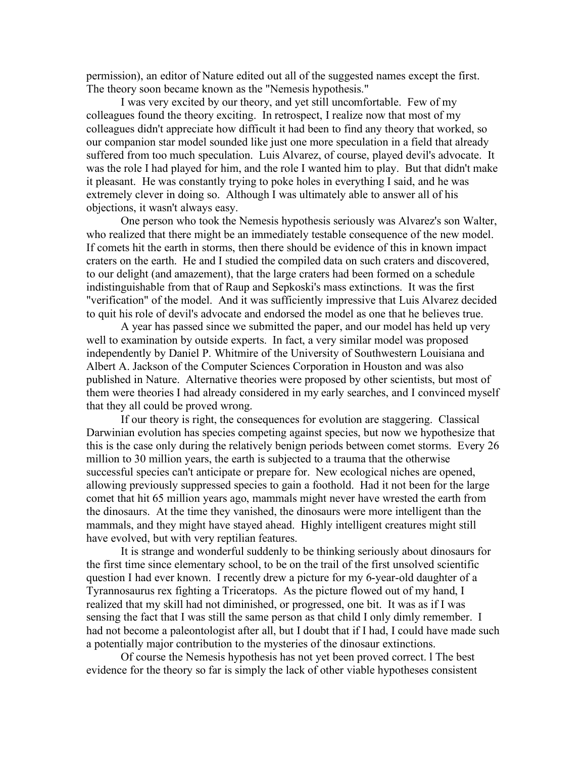permission), an editor of Nature edited out all of the suggested names except the first. The theory soon became known as the "Nemesis hypothesis."

I was very excited by our theory, and yet still uncomfortable. Few of my colleagues found the theory exciting. In retrospect, I realize now that most of my colleagues didn't appreciate how difficult it had been to find any theory that worked, so our companion star model sounded like just one more speculation in a field that already suffered from too much speculation. Luis Alvarez, of course, played devil's advocate. It was the role I had played for him, and the role I wanted him to play. But that didn't make it pleasant. He was constantly trying to poke holes in everything I said, and he was extremely clever in doing so. Although I was ultimately able to answer all of his objections, it wasn't always easy.

One person who took the Nemesis hypothesis seriously was Alvarez's son Walter, who realized that there might be an immediately testable consequence of the new model. If comets hit the earth in storms, then there should be evidence of this in known impact craters on the earth. He and I studied the compiled data on such craters and discovered, to our delight (and amazement), that the large craters had been formed on a schedule indistinguishable from that of Raup and Sepkoski's mass extinctions. It was the first "verification" of the model. And it was sufficiently impressive that Luis Alvarez decided to quit his role of devil's advocate and endorsed the model as one that he believes true.

A year has passed since we submitted the paper, and our model has held up very well to examination by outside experts. In fact, a very similar model was proposed independently by Daniel P. Whitmire of the University of Southwestern Louisiana and Albert A. Jackson of the Computer Sciences Corporation in Houston and was also published in Nature. Alternative theories were proposed by other scientists, but most of them were theories I had already considered in my early searches, and I convinced myself that they all could be proved wrong.

If our theory is right, the consequences for evolution are staggering. Classical Darwinian evolution has species competing against species, but now we hypothesize that this is the case only during the relatively benign periods between comet storms. Every 26 million to 30 million years, the earth is subjected to a trauma that the otherwise successful species can't anticipate or prepare for. New ecological niches are opened, allowing previously suppressed species to gain a foothold. Had it not been for the large comet that hit 65 million years ago, mammals might never have wrested the earth from the dinosaurs. At the time they vanished, the dinosaurs were more intelligent than the mammals, and they might have stayed ahead. Highly intelligent creatures might still have evolved, but with very reptilian features.

It is strange and wonderful suddenly to be thinking seriously about dinosaurs for the first time since elementary school, to be on the trail of the first unsolved scientific question I had ever known. I recently drew a picture for my 6-year-old daughter of a Tyrannosaurus rex fighting a Triceratops. As the picture flowed out of my hand, I realized that my skill had not diminished, or progressed, one bit. It was as if I was sensing the fact that I was still the same person as that child I only dimly remember. I had not become a paleontologist after all, but I doubt that if I had, I could have made such a potentially major contribution to the mysteries of the dinosaur extinctions.

Of course the Nemesis hypothesis has not yet been proved correct. l The best evidence for the theory so far is simply the lack of other viable hypotheses consistent